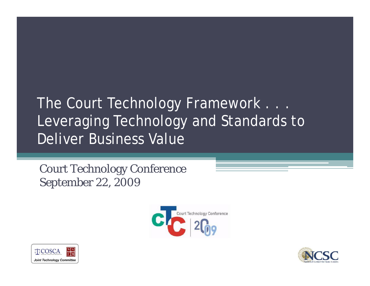### The Court Technology Framework . . . Leveraging Technology and Standards to Deliver Business Value

Court Technology Conference September 22, 2009





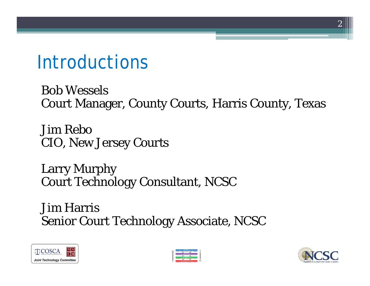### Introductions

Bob Wessels Court Manager, County Courts, Harris County, Texas

Jim Rebo CIO, New Jersey Courts

Larry Murphy Court Technology Consultant, NCSC

Jim Harris Senior Court Technology Associate, NCSC





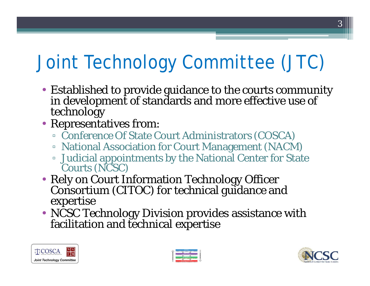# Joint Technology Committee (JTC)

- Established to provide guidance to the courts community in development of standards and more effective use of technology
- Representatives from:
	- Conference Of State Court Administrators (COSCA)
	- National Association for Court Management (NACM)
	- Judicial appointments by the National Center for State Courts (NCSC)
- Rely on Court Information Technology Officer Consortium (CITOC) for technical guidance and expertise
- NCSC Technology Division provides assistance with facilitation and technical expertise





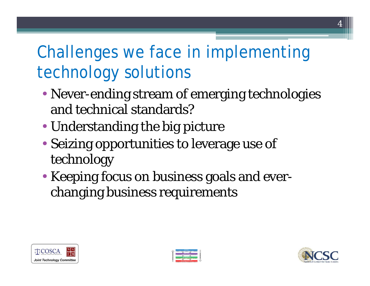### Challenges we face in implementing technology solutions

- Never-ending stream of emerging technologies and technical standards?
- Understanding the big picture
- Seizing opportunities to leverage use of technology
- Keeping focus on business goals and everchanging business requirements





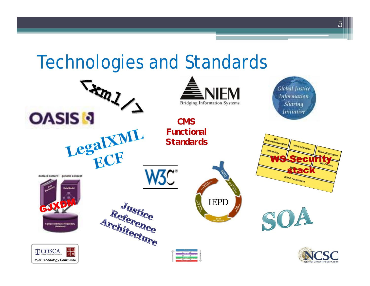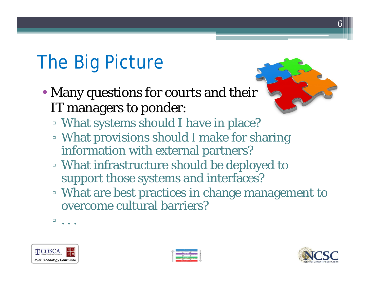# The Big Picture

- Many questions for courts and their IT managers to ponder:
	- What systems should I have in place?
	- What provisions should I make for sharing information with external partners?
	- What infrastructure should be deployed to support those systems and interfaces?
	- What are best practices in change management to overcome cultural barriers?
	- $\mathbf{L}$  . . .





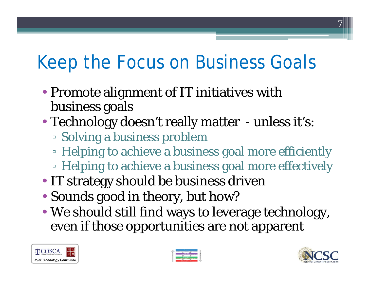# Keep the Focus on Business Goals

- Promote alignment of IT initiatives with business goals
- Technology doesn't really matter unless it's:
	- Solving a business problem
	- Helping to achieve a business goal more efficiently
	- Helping to achieve a business goal more effectively
- IT strategy should be business driven
- Sounds good in theory, but how?
- We should still find ways to leverage technology, even if those opportunities are not apparent





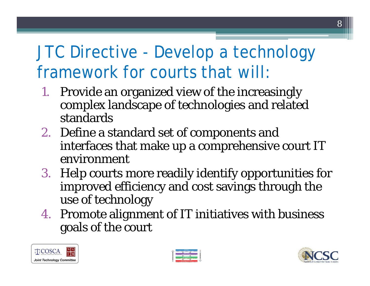### JTC Directive - Develop a technology framework for courts that will:

- 1. Provide an organized view of the increasingly complex landscape of technologies and related standards
- 2. Define a standard set of components and interfaces that make up a comprehensive court IT environment
- 3. Help courts more readily identify opportunities for improved efficiency and cost savings through the use of technology
- 4. Promote alignment of IT initiatives with business goals of the court





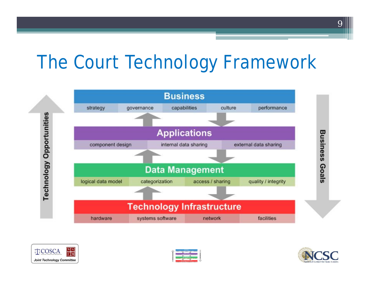### The Court Technology Framework







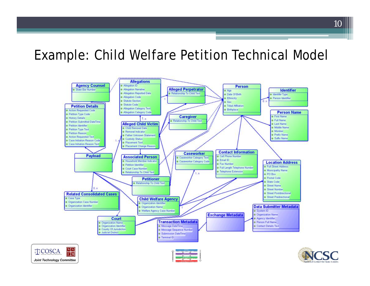### Example: Child Welfare Petition Technical Model

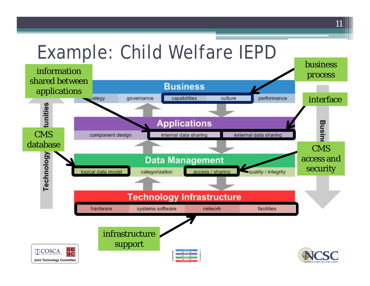#### Example: Child Welfare IEPD business information process shared between **Business** applicationsurategy qovernance capabilities culture performance interface tunities **Applications**

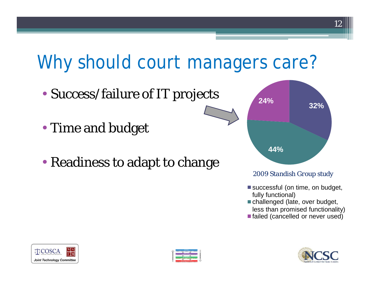## Why should court managers care?

- Success/failure of IT projects
- Time and budget
- Readiness to adapt to change



#### *2009 Standish Group study*

- successful (on time, on budget, fully functional)
- challenged (late, over budget, less than promised functionality)
- failed (cancelled or never used)





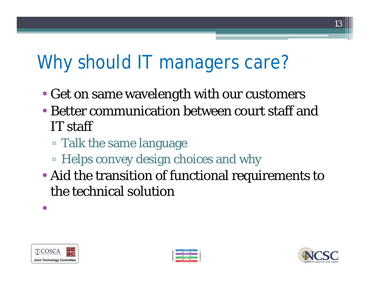# Why should IT managers care?

- Get on same wavelength with our customers
- Better communication between court staff and IT staff
	- Talk the same language
	- Helps convey design choices and why
- Aid the transition of functional requirements to the technical solution



•



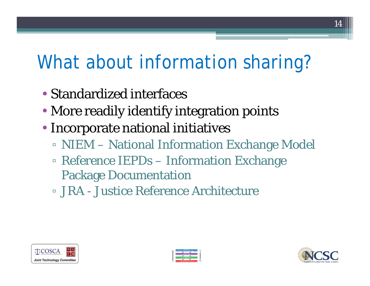# What about information sharing?

- Standardized interfaces
- More readily identify integration points
- Incorporate national initiatives
	- NIEM National Information Exchange Model
	- Reference IEPDs Information Exchange Package Documentation
	- **E. JRA Justice Reference Architecture**





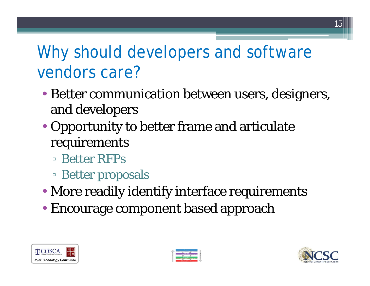### Why should developers and software vendors care?

- Better communication between users, designers, and developers
- Opportunity to better frame and articulate requirements
	- **E** Better RFPs
	- Better proposals
- More readily identify interface requirements
- Encourage component based approach





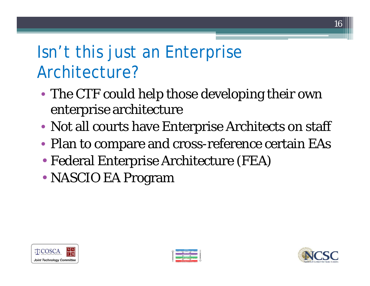### Isn't this just an Enterprise Architecture?

- The CTF could help those developing their own enterprise architecture
- Not all courts have Enterprise Architects on staff
- Plan to compare and cross-reference certain EAs
- Federal Enterprise Architecture (FEA)
- NASCIO EA Program





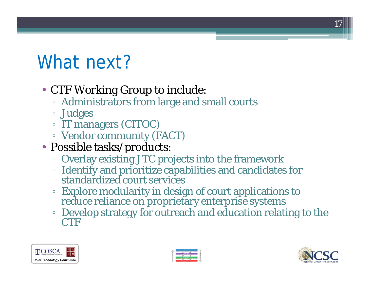# What next?

- CTF Working Group to include:
	- Administrators from large and small courts
	- Ł Judges
	- **IT managers (CITOC)**
	- **E** Vendor community (FACT)
- Possible tasks/products:
	- Overlay existing JTC projects into the framework
	- Identify and prioritize capabilities and candidates for standardized court services
	- **Explore modularity in design of court applications to** reduce reliance on proprietary enterprise systems
	- Develop strategy for outreach and education relating to the **CTF**